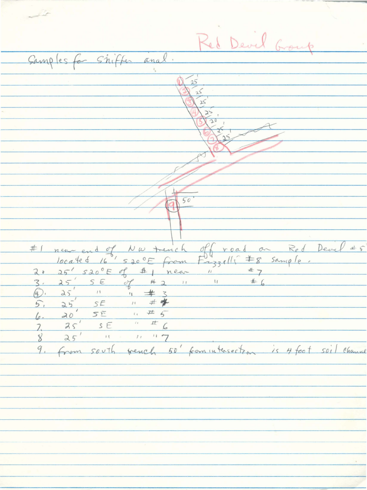Red Devel and Camples for Shifter anal.  $\frac{25}{25}$  $25$  $\mathbf{z}$  $50$ #1 new end of  $20$  $\iota$  $\overline{Z}$  $25$ 8 9. From south wench 50' from intersection is 4 foot soil channel